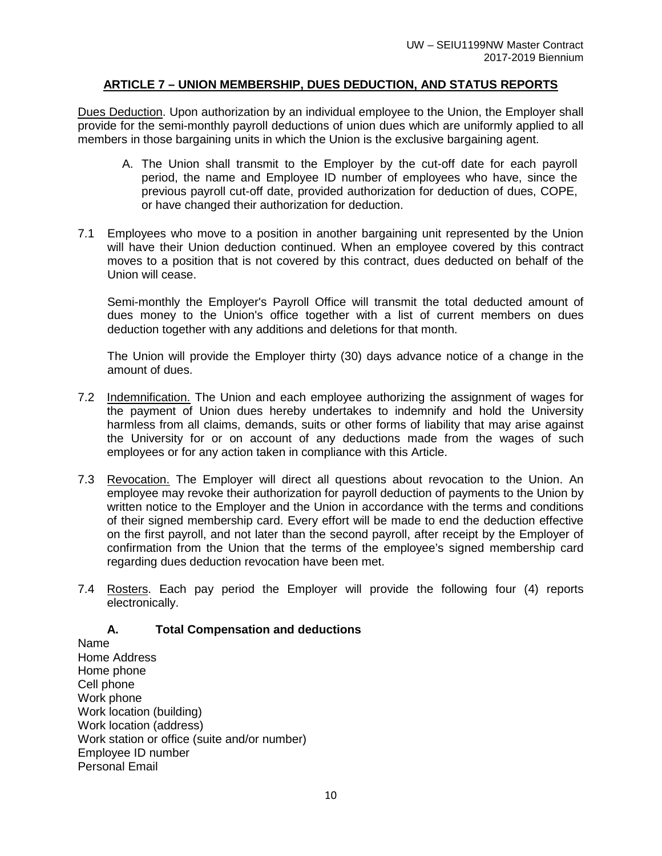### **ARTICLE 7 – UNION MEMBERSHIP, DUES DEDUCTION, AND STATUS REPORTS**

Dues Deduction. Upon authorization by an individual employee to the Union, the Employer shall provide for the semi-monthly payroll deductions of union dues which are uniformly applied to all members in those bargaining units in which the Union is the exclusive bargaining agent.

- A. The Union shall transmit to the Employer by the cut-off date for each payroll period, the name and Employee ID number of employees who have, since the previous payroll cut-off date, provided authorization for deduction of dues, COPE, or have changed their authorization for deduction.
- 7.1 Employees who move to a position in another bargaining unit represented by the Union will have their Union deduction continued. When an employee covered by this contract moves to a position that is not covered by this contract, dues deducted on behalf of the Union will cease.

Semi-monthly the Employer's Payroll Office will transmit the total deducted amount of dues money to the Union's office together with a list of current members on dues deduction together with any additions and deletions for that month.

The Union will provide the Employer thirty (30) days advance notice of a change in the amount of dues.

- 7.2 Indemnification. The Union and each employee authorizing the assignment of wages for the payment of Union dues hereby undertakes to indemnify and hold the University harmless from all claims, demands, suits or other forms of liability that may arise against the University for or on account of any deductions made from the wages of such employees or for any action taken in compliance with this Article.
- 7.3 Revocation. The Employer will direct all questions about revocation to the Union. An employee may revoke their authorization for payroll deduction of payments to the Union by written notice to the Employer and the Union in accordance with the terms and conditions of their signed membership card. Every effort will be made to end the deduction effective on the first payroll, and not later than the second payroll, after receipt by the Employer of confirmation from the Union that the terms of the employee's signed membership card regarding dues deduction revocation have been met.
- 7.4 Rosters. Each pay period the Employer will provide the following four (4) reports electronically.

**A. Total Compensation and deductions** 

Name Home Address Home phone Cell phone Work phone Work location (building) Work location (address) Work station or office (suite and/or number) Employee ID number Personal Email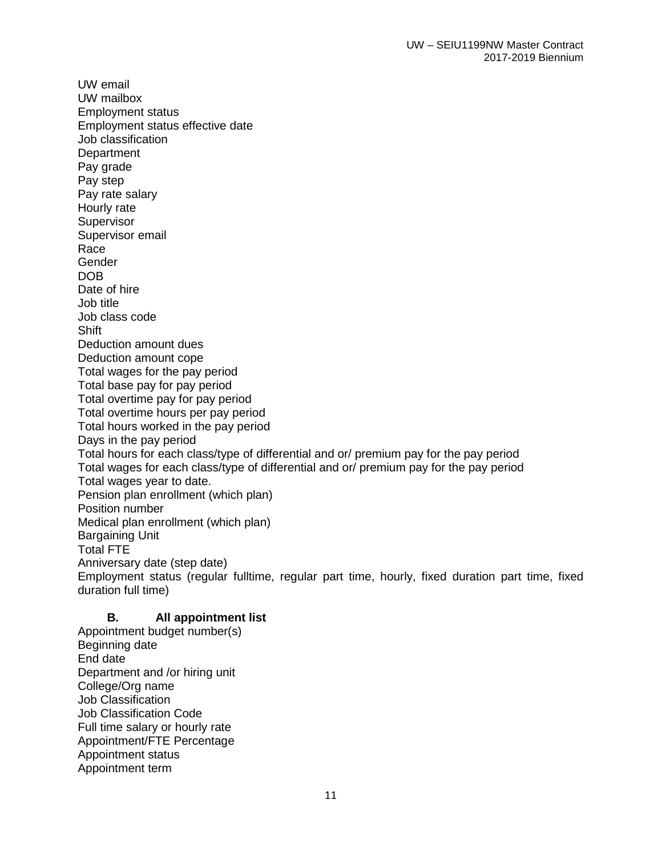UW email UW mailbox Employment status Employment status effective date Job classification **Department** Pay grade Pay step Pay rate salary Hourly rate **Supervisor** Supervisor email Race **Gender** DOB Date of hire Job title Job class code **Shift** Deduction amount dues Deduction amount cope Total wages for the pay period Total base pay for pay period Total overtime pay for pay period Total overtime hours per pay period Total hours worked in the pay period Days in the pay period Total hours for each class/type of differential and or/ premium pay for the pay period Total wages for each class/type of differential and or/ premium pay for the pay period Total wages year to date. Pension plan enrollment (which plan) Position number Medical plan enrollment (which plan) Bargaining Unit Total FTE Anniversary date (step date) Employment status (regular fulltime, regular part time, hourly, fixed duration part time, fixed duration full time)

#### **B. All appointment list**

Appointment budget number(s) Beginning date End date Department and /or hiring unit College/Org name Job Classification Job Classification Code Full time salary or hourly rate Appointment/FTE Percentage Appointment status Appointment term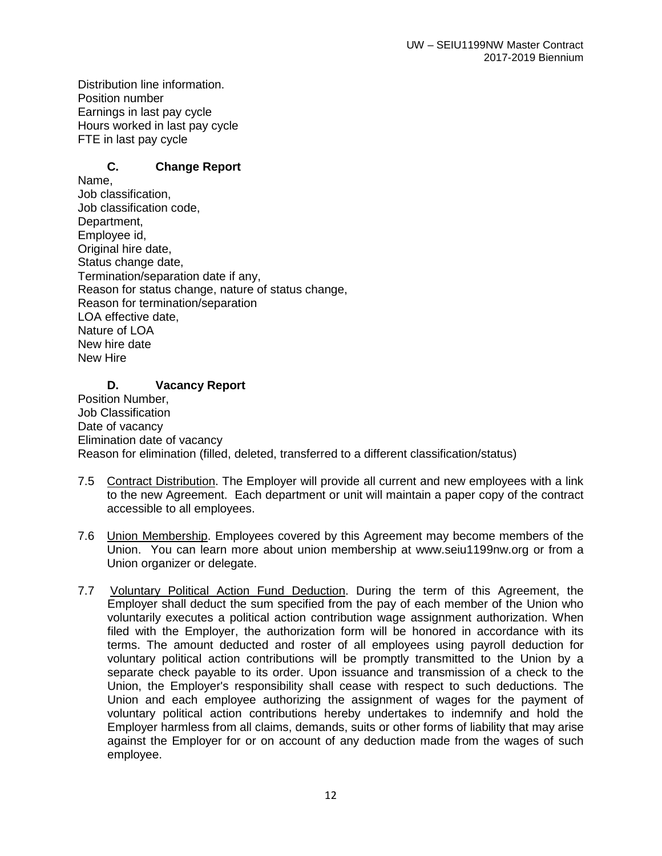Distribution line information. Position number Earnings in last pay cycle Hours worked in last pay cycle FTE in last pay cycle

# **C. Change Report**

Name, Job classification, Job classification code, Department, Employee id, Original hire date, Status change date, Termination/separation date if any, Reason for status change, nature of status change, Reason for termination/separation LOA effective date, Nature of LOA New hire date New Hire

### **D. Vacancy Report**

Position Number, Job Classification Date of vacancy Elimination date of vacancy Reason for elimination (filled, deleted, transferred to a different classification/status)

- 7.5 Contract Distribution. The Employer will provide all current and new employees with a link to the new Agreement. Each department or unit will maintain a paper copy of the contract accessible to all employees.
- 7.6 Union Membership. Employees covered by this Agreement may become members of the Union. You can learn more about union membership at www.seiu1199nw.org or from a Union organizer or delegate.
- 7.7 Voluntary Political Action Fund Deduction. During the term of this Agreement, the Employer shall deduct the sum specified from the pay of each member of the Union who voluntarily executes a political action contribution wage assignment authorization. When filed with the Employer, the authorization form will be honored in accordance with its terms. The amount deducted and roster of all employees using payroll deduction for voluntary political action contributions will be promptly transmitted to the Union by a separate check payable to its order. Upon issuance and transmission of a check to the Union, the Employer's responsibility shall cease with respect to such deductions. The Union and each employee authorizing the assignment of wages for the payment of voluntary political action contributions hereby undertakes to indemnify and hold the Employer harmless from all claims, demands, suits or other forms of liability that may arise against the Employer for or on account of any deduction made from the wages of such employee.